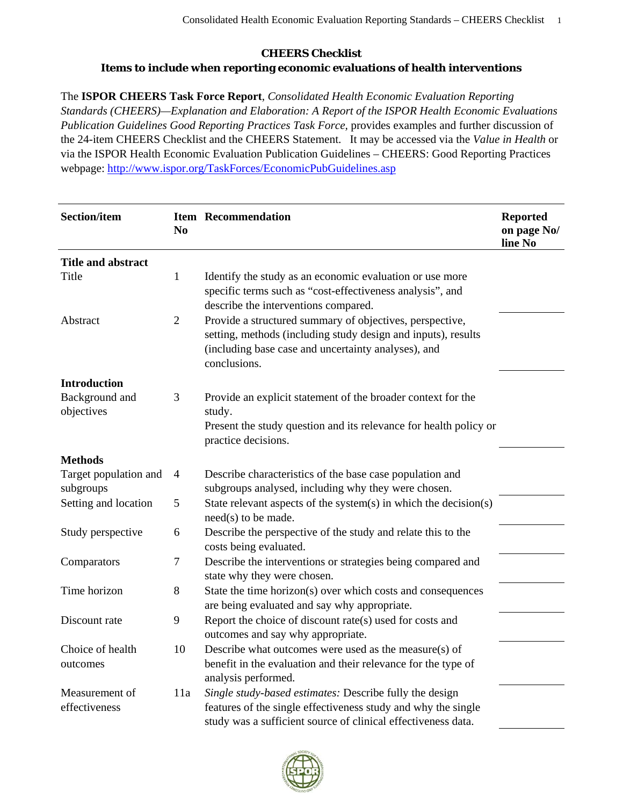## **CHEERS Checklist Items to include when reporting economic evaluations of health interventions**

The **ISPOR CHEERS Task Force Report**, *Consolidated Health Economic Evaluation Reporting Standards (CHEERS)—Explanation and Elaboration: A Report of the ISPOR Health Economic Evaluations Publication Guidelines Good Reporting Practices Task Force,* provides examples and further discussion of the 24-item CHEERS Checklist and the CHEERS Statement. It may be accessed via the *Value in Health* or via the ISPOR Health Economic Evaluation Publication Guidelines – CHEERS: Good Reporting Practices webpage: http://www.ispor.org/TaskForces/EconomicPubGuidelines.asp

| <b>Section/item</b>                | N <sub>0</sub> | <b>Item Recommendation</b>                                                                                                                                                                       | <b>Reported</b><br>on page No/<br>line No |
|------------------------------------|----------------|--------------------------------------------------------------------------------------------------------------------------------------------------------------------------------------------------|-------------------------------------------|
| <b>Title and abstract</b>          |                |                                                                                                                                                                                                  |                                           |
| Title                              | $\mathbf{1}$   | Identify the study as an economic evaluation or use more<br>specific terms such as "cost-effectiveness analysis", and<br>describe the interventions compared.                                    |                                           |
| Abstract                           | $\overline{2}$ | Provide a structured summary of objectives, perspective,<br>setting, methods (including study design and inputs), results<br>(including base case and uncertainty analyses), and<br>conclusions. |                                           |
| <b>Introduction</b>                |                |                                                                                                                                                                                                  |                                           |
| Background and<br>objectives       | 3              | Provide an explicit statement of the broader context for the<br>study.<br>Present the study question and its relevance for health policy or<br>practice decisions.                               |                                           |
| <b>Methods</b>                     |                |                                                                                                                                                                                                  |                                           |
| Target population and<br>subgroups | $\overline{4}$ | Describe characteristics of the base case population and<br>subgroups analysed, including why they were chosen.                                                                                  |                                           |
| Setting and location               | 5              | State relevant aspects of the system(s) in which the decision(s)<br>$need(s)$ to be made.                                                                                                        |                                           |
| Study perspective                  | 6              | Describe the perspective of the study and relate this to the<br>costs being evaluated.                                                                                                           |                                           |
| Comparators                        | 7              | Describe the interventions or strategies being compared and<br>state why they were chosen.                                                                                                       |                                           |
| Time horizon                       | 8              | State the time horizon(s) over which costs and consequences<br>are being evaluated and say why appropriate.                                                                                      |                                           |
| Discount rate                      | 9              | Report the choice of discount rate(s) used for costs and<br>outcomes and say why appropriate.                                                                                                    |                                           |
| Choice of health<br>outcomes       | 10             | Describe what outcomes were used as the measure(s) of<br>benefit in the evaluation and their relevance for the type of<br>analysis performed.                                                    |                                           |
| Measurement of<br>effectiveness    | 11a            | Single study-based estimates: Describe fully the design<br>features of the single effectiveness study and why the single<br>study was a sufficient source of clinical effectiveness data.        |                                           |

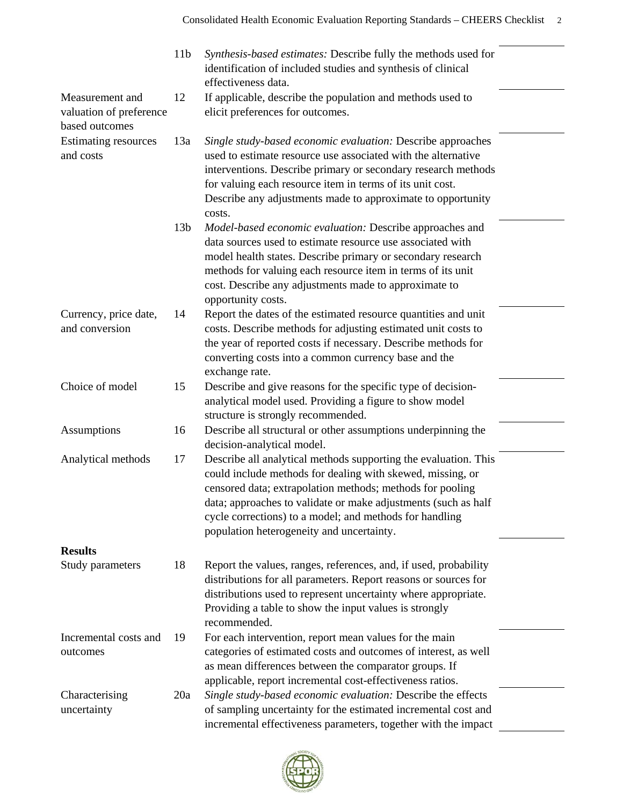|                                                              | 11 <sub>b</sub> | Synthesis-based estimates: Describe fully the methods used for<br>identification of included studies and synthesis of clinical<br>effectiveness data.                                                                                                                                                                                                                |  |
|--------------------------------------------------------------|-----------------|----------------------------------------------------------------------------------------------------------------------------------------------------------------------------------------------------------------------------------------------------------------------------------------------------------------------------------------------------------------------|--|
| Measurement and<br>valuation of preference<br>based outcomes | 12              | If applicable, describe the population and methods used to<br>elicit preferences for outcomes.                                                                                                                                                                                                                                                                       |  |
| <b>Estimating resources</b><br>and costs                     | 13a             | Single study-based economic evaluation: Describe approaches<br>used to estimate resource use associated with the alternative<br>interventions. Describe primary or secondary research methods<br>for valuing each resource item in terms of its unit cost.<br>Describe any adjustments made to approximate to opportunity<br>costs.                                  |  |
|                                                              | 13 <sub>b</sub> | Model-based economic evaluation: Describe approaches and<br>data sources used to estimate resource use associated with<br>model health states. Describe primary or secondary research<br>methods for valuing each resource item in terms of its unit<br>cost. Describe any adjustments made to approximate to<br>opportunity costs.                                  |  |
| Currency, price date,<br>and conversion                      | 14              | Report the dates of the estimated resource quantities and unit<br>costs. Describe methods for adjusting estimated unit costs to<br>the year of reported costs if necessary. Describe methods for<br>converting costs into a common currency base and the<br>exchange rate.                                                                                           |  |
| Choice of model                                              | 15              | Describe and give reasons for the specific type of decision-<br>analytical model used. Providing a figure to show model<br>structure is strongly recommended.                                                                                                                                                                                                        |  |
| Assumptions                                                  | 16              | Describe all structural or other assumptions underpinning the<br>decision-analytical model.                                                                                                                                                                                                                                                                          |  |
| Analytical methods                                           | 17              | Describe all analytical methods supporting the evaluation. This<br>could include methods for dealing with skewed, missing, or<br>censored data; extrapolation methods; methods for pooling<br>data; approaches to validate or make adjustments (such as half<br>cycle corrections) to a model; and methods for handling<br>population heterogeneity and uncertainty. |  |
| <b>Results</b>                                               |                 |                                                                                                                                                                                                                                                                                                                                                                      |  |
| Study parameters                                             | 18              | Report the values, ranges, references, and, if used, probability<br>distributions for all parameters. Report reasons or sources for<br>distributions used to represent uncertainty where appropriate.<br>Providing a table to show the input values is strongly<br>recommended.                                                                                      |  |
| Incremental costs and<br>outcomes                            | 19              | For each intervention, report mean values for the main<br>categories of estimated costs and outcomes of interest, as well<br>as mean differences between the comparator groups. If<br>applicable, report incremental cost-effectiveness ratios.                                                                                                                      |  |
| Characterising<br>uncertainty                                | 20a             | Single study-based economic evaluation: Describe the effects<br>of sampling uncertainty for the estimated incremental cost and<br>incremental effectiveness parameters, together with the impact                                                                                                                                                                     |  |